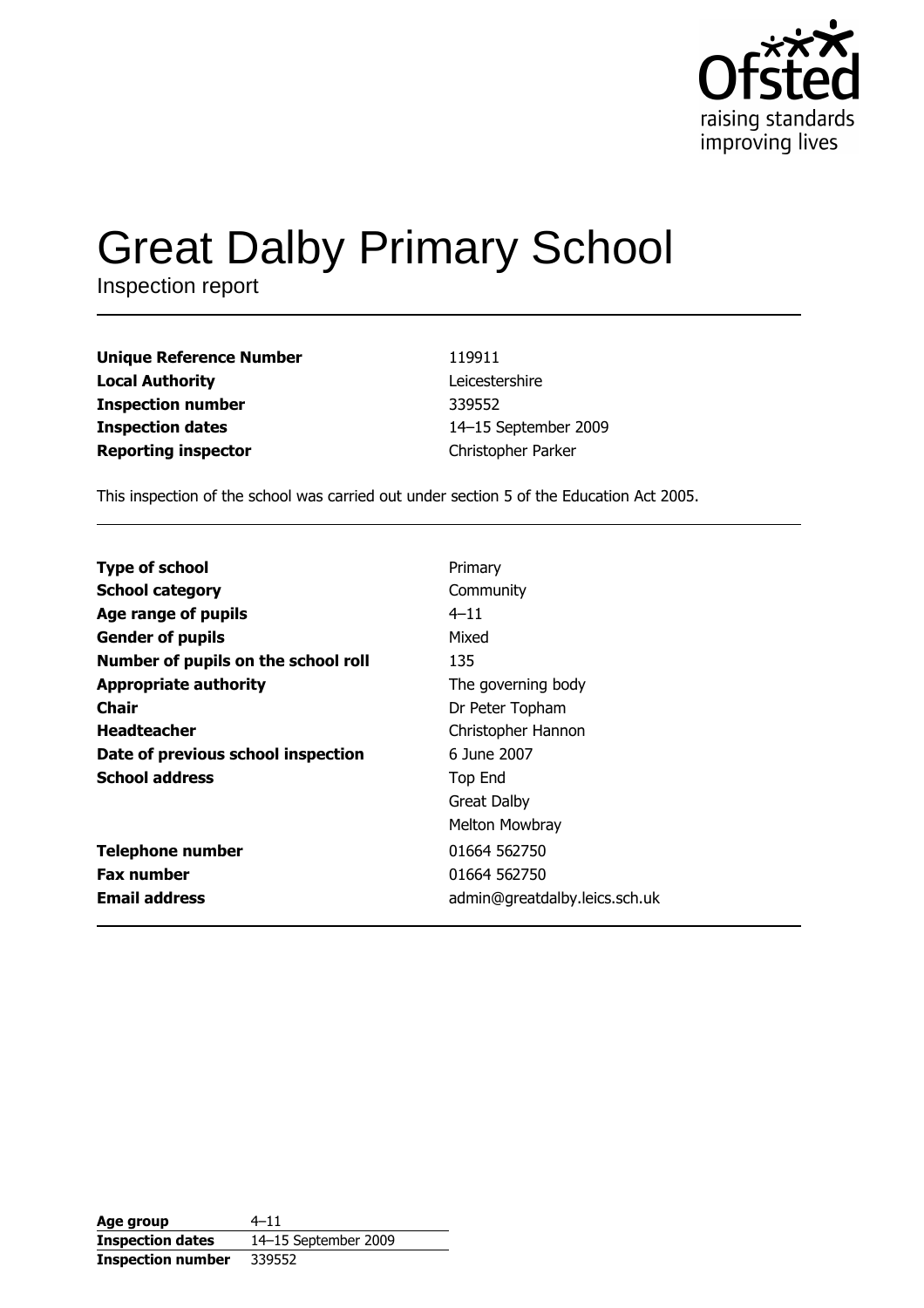

# **Great Dalby Primary School**

Inspection report

| Unique Reference Number | 119911               |
|-------------------------|----------------------|
| Local Authority         | Leicestershire       |
| Inspection number       | 339552               |
| Inspection dates        | 14-15 September 2009 |
| Reporting inspector     | Christopher Parker   |

This inspection of the school was carried out under section 5 of the Education Act 2005.

| <b>Type of school</b>               | Primary                       |
|-------------------------------------|-------------------------------|
| <b>School category</b>              | Community                     |
| Age range of pupils                 | $4 - 11$                      |
| <b>Gender of pupils</b>             | Mixed                         |
| Number of pupils on the school roll | 135                           |
| <b>Appropriate authority</b>        | The governing body            |
| Chair                               | Dr Peter Topham               |
| <b>Headteacher</b>                  | Christopher Hannon            |
| Date of previous school inspection  | 6 June 2007                   |
| <b>School address</b>               | Top End                       |
|                                     | <b>Great Dalby</b>            |
|                                     | Melton Mowbray                |
| <b>Telephone number</b>             | 01664 562750                  |
| <b>Fax number</b>                   | 01664 562750                  |
| <b>Email address</b>                | admin@greatdalby.leics.sch.uk |

| Age group                | $4 - 11$             |
|--------------------------|----------------------|
| <b>Inspection dates</b>  | 14-15 September 2009 |
| <b>Inspection number</b> | 339552               |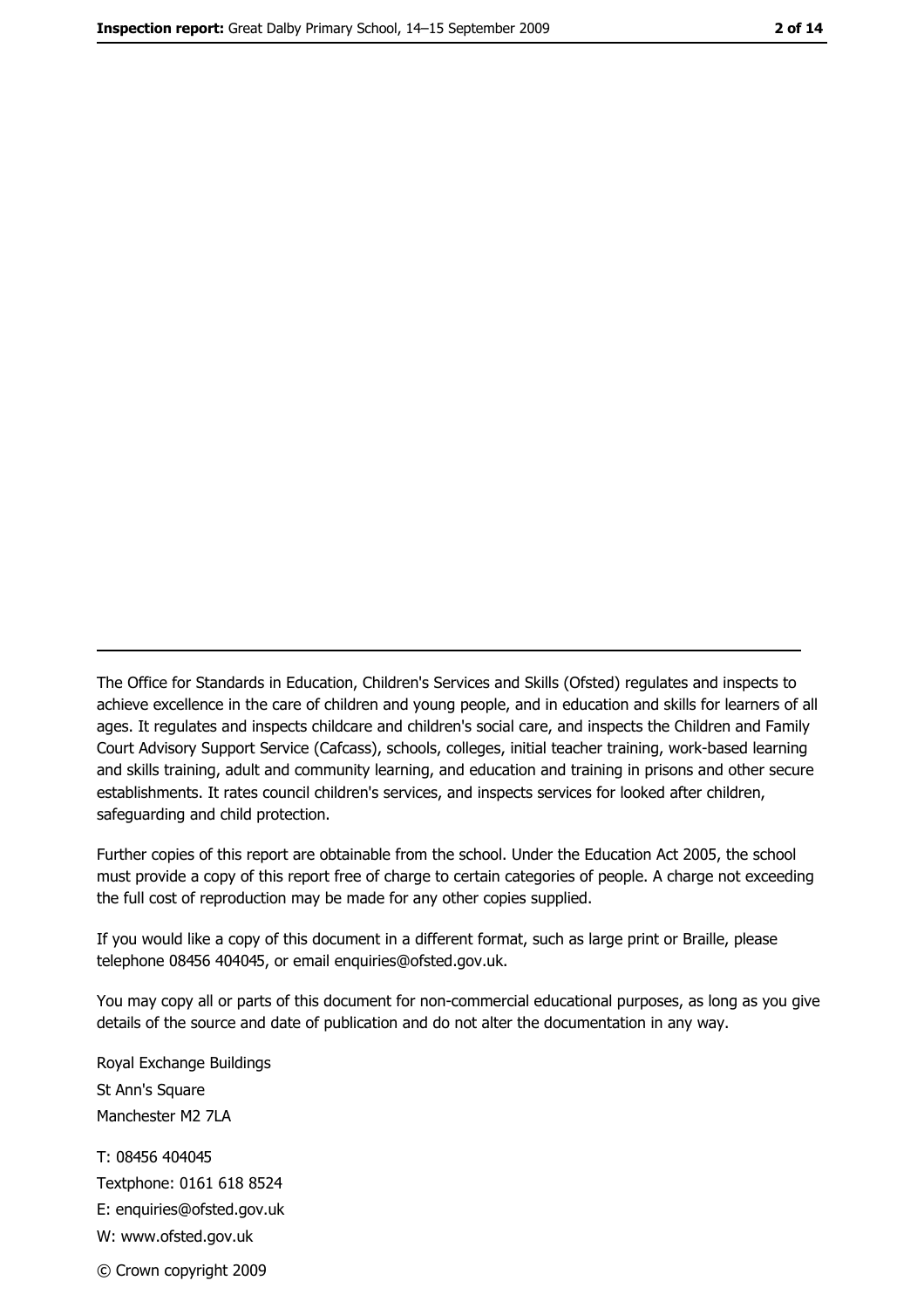The Office for Standards in Education, Children's Services and Skills (Ofsted) regulates and inspects to achieve excellence in the care of children and young people, and in education and skills for learners of all ages. It regulates and inspects childcare and children's social care, and inspects the Children and Family Court Advisory Support Service (Cafcass), schools, colleges, initial teacher training, work-based learning and skills training, adult and community learning, and education and training in prisons and other secure establishments. It rates council children's services, and inspects services for looked after children, safequarding and child protection.

Further copies of this report are obtainable from the school. Under the Education Act 2005, the school must provide a copy of this report free of charge to certain categories of people. A charge not exceeding the full cost of reproduction may be made for any other copies supplied.

If you would like a copy of this document in a different format, such as large print or Braille, please telephone 08456 404045, or email enquiries@ofsted.gov.uk.

You may copy all or parts of this document for non-commercial educational purposes, as long as you give details of the source and date of publication and do not alter the documentation in any way.

Royal Exchange Buildings St Ann's Square Manchester M2 7LA T: 08456 404045 Textphone: 0161 618 8524 E: enquiries@ofsted.gov.uk W: www.ofsted.gov.uk © Crown copyright 2009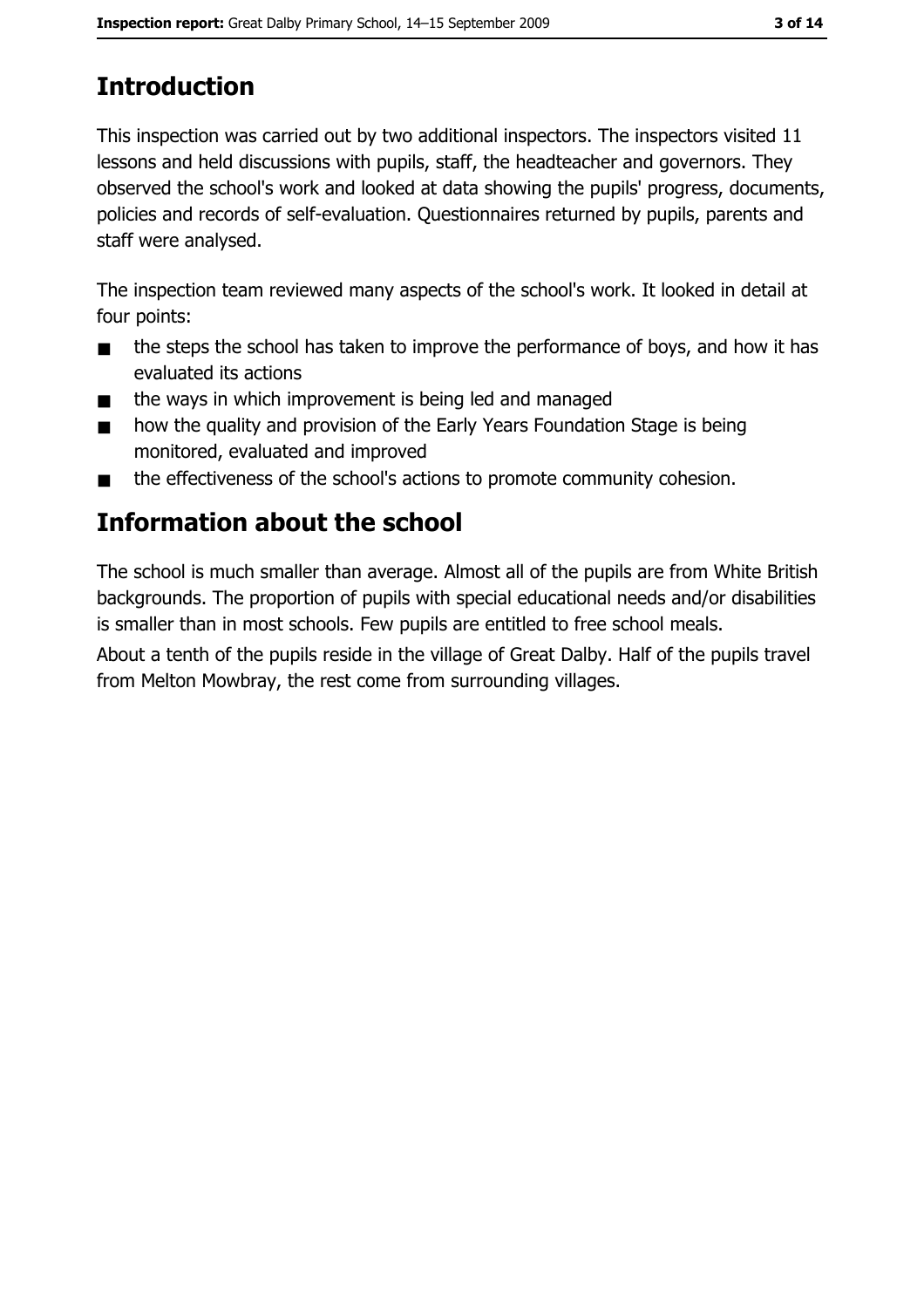# **Introduction**

This inspection was carried out by two additional inspectors. The inspectors visited 11 lessons and held discussions with pupils, staff, the headteacher and governors. They observed the school's work and looked at data showing the pupils' progress, documents, policies and records of self-evaluation. Questionnaires returned by pupils, parents and staff were analysed.

The inspection team reviewed many aspects of the school's work. It looked in detail at four points:

- the steps the school has taken to improve the performance of boys, and how it has  $\blacksquare$ evaluated its actions
- the ways in which improvement is being led and managed  $\blacksquare$
- how the quality and provision of the Early Years Foundation Stage is being  $\blacksquare$ monitored, evaluated and improved
- the effectiveness of the school's actions to promote community cohesion.  $\blacksquare$

# Information about the school

The school is much smaller than average. Almost all of the pupils are from White British backgrounds. The proportion of pupils with special educational needs and/or disabilities is smaller than in most schools. Few pupils are entitled to free school meals.

About a tenth of the pupils reside in the village of Great Dalby. Half of the pupils travel from Melton Mowbray, the rest come from surrounding villages.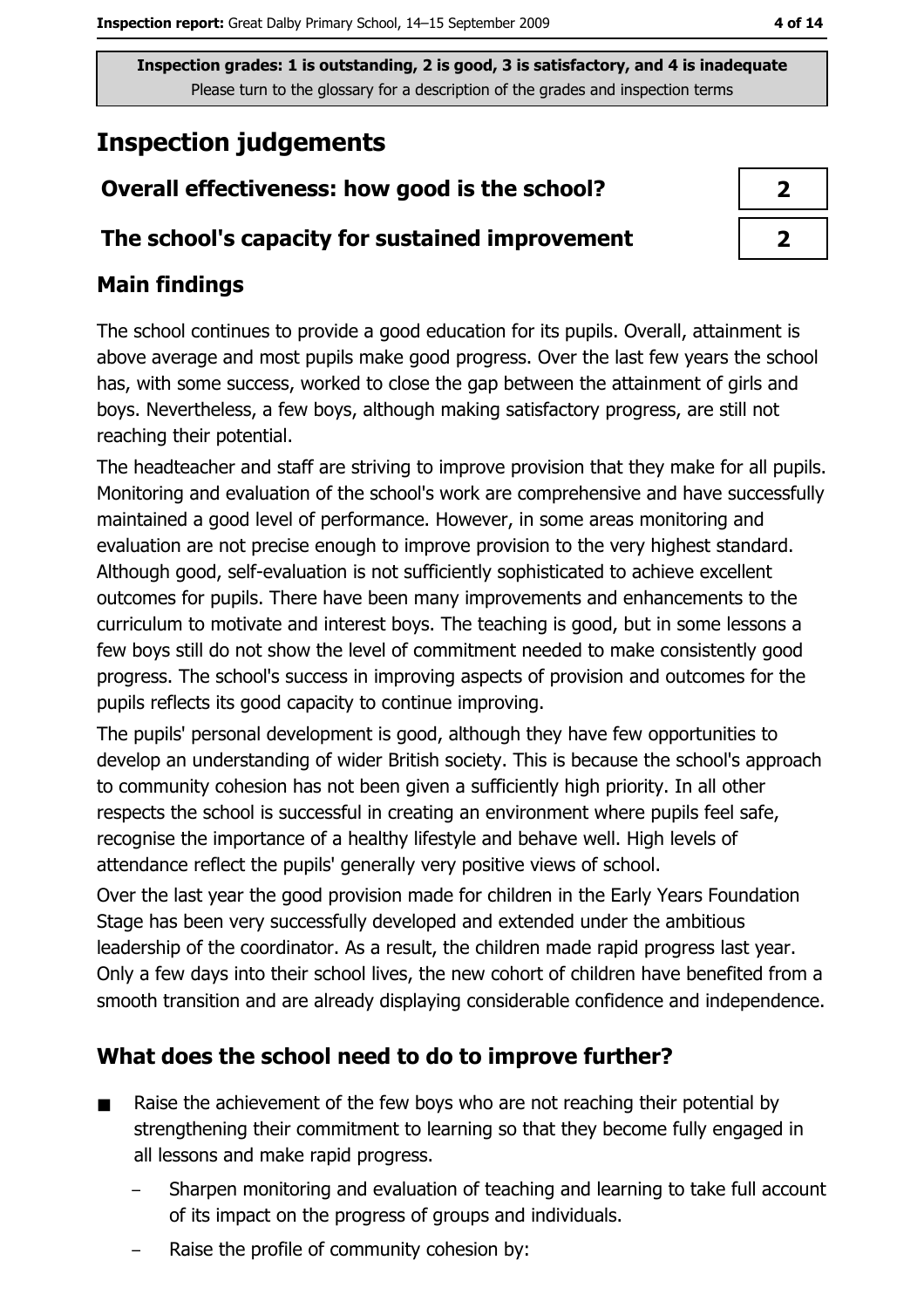# **Inspection judgements**

## Overall effectiveness: how good is the school?

#### The school's capacity for sustained improvement

## **Main findings**

The school continues to provide a good education for its pupils. Overall, attainment is above average and most pupils make good progress. Over the last few years the school has, with some success, worked to close the gap between the attainment of girls and boys. Nevertheless, a few boys, although making satisfactory progress, are still not reaching their potential.

The headteacher and staff are striving to improve provision that they make for all pupils. Monitoring and evaluation of the school's work are comprehensive and have successfully maintained a good level of performance. However, in some areas monitoring and evaluation are not precise enough to improve provision to the very highest standard. Although good, self-evaluation is not sufficiently sophisticated to achieve excellent outcomes for pupils. There have been many improvements and enhancements to the curriculum to motivate and interest boys. The teaching is good, but in some lessons a few boys still do not show the level of commitment needed to make consistently good progress. The school's success in improving aspects of provision and outcomes for the pupils reflects its good capacity to continue improving.

The pupils' personal development is good, although they have few opportunities to develop an understanding of wider British society. This is because the school's approach to community cohesion has not been given a sufficiently high priority. In all other respects the school is successful in creating an environment where pupils feel safe, recognise the importance of a healthy lifestyle and behave well. High levels of attendance reflect the pupils' generally very positive views of school.

Over the last year the good provision made for children in the Early Years Foundation Stage has been very successfully developed and extended under the ambitious leadership of the coordinator. As a result, the children made rapid progress last year. Only a few days into their school lives, the new cohort of children have benefited from a smooth transition and are already displaying considerable confidence and independence.

# What does the school need to do to improve further?

- Raise the achievement of the few boys who are not reaching their potential by  $\blacksquare$ strengthening their commitment to learning so that they become fully engaged in all lessons and make rapid progress.
	- Sharpen monitoring and evaluation of teaching and learning to take full account of its impact on the progress of groups and individuals.
	- Raise the profile of community cohesion by: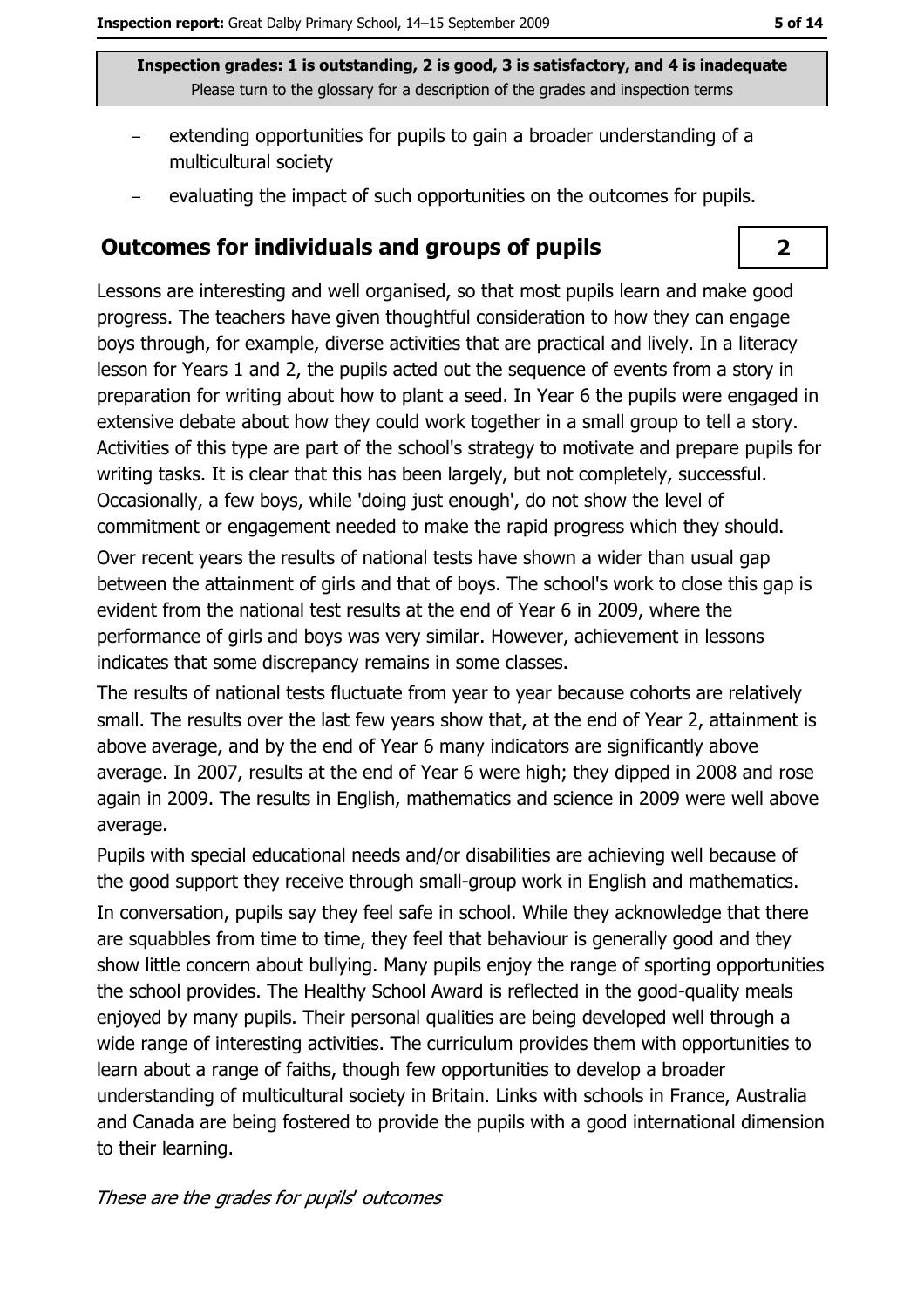$\overline{2}$ 

Inspection grades: 1 is outstanding, 2 is good, 3 is satisfactory, and 4 is inadequate Please turn to the glossary for a description of the grades and inspection terms

- extending opportunities for pupils to gain a broader understanding of a multicultural society
- evaluating the impact of such opportunities on the outcomes for pupils.

### **Outcomes for individuals and groups of pupils**

Lessons are interesting and well organised, so that most pupils learn and make good progress. The teachers have given thoughtful consideration to how they can engage boys through, for example, diverse activities that are practical and lively. In a literacy lesson for Years 1 and 2, the pupils acted out the sequence of events from a story in preparation for writing about how to plant a seed. In Year 6 the pupils were engaged in extensive debate about how they could work together in a small group to tell a story. Activities of this type are part of the school's strategy to motivate and prepare pupils for writing tasks. It is clear that this has been largely, but not completely, successful. Occasionally, a few boys, while 'doing just enough', do not show the level of commitment or engagement needed to make the rapid progress which they should.

Over recent years the results of national tests have shown a wider than usual gap between the attainment of girls and that of boys. The school's work to close this gap is evident from the national test results at the end of Year 6 in 2009, where the performance of girls and boys was very similar. However, achievement in lessons indicates that some discrepancy remains in some classes.

The results of national tests fluctuate from year to year because cohorts are relatively small. The results over the last few years show that, at the end of Year 2, attainment is above average, and by the end of Year 6 many indicators are significantly above average. In 2007, results at the end of Year 6 were high; they dipped in 2008 and rose again in 2009. The results in English, mathematics and science in 2009 were well above average.

Pupils with special educational needs and/or disabilities are achieving well because of the good support they receive through small-group work in English and mathematics. In conversation, pupils say they feel safe in school. While they acknowledge that there are squabbles from time to time, they feel that behaviour is generally good and they show little concern about bullying. Many pupils enjoy the range of sporting opportunities the school provides. The Healthy School Award is reflected in the good-quality meals enjoyed by many pupils. Their personal qualities are being developed well through a wide range of interesting activities. The curriculum provides them with opportunities to learn about a range of faiths, though few opportunities to develop a broader understanding of multicultural society in Britain. Links with schools in France, Australia and Canada are being fostered to provide the pupils with a good international dimension to their learning.

These are the grades for pupils' outcomes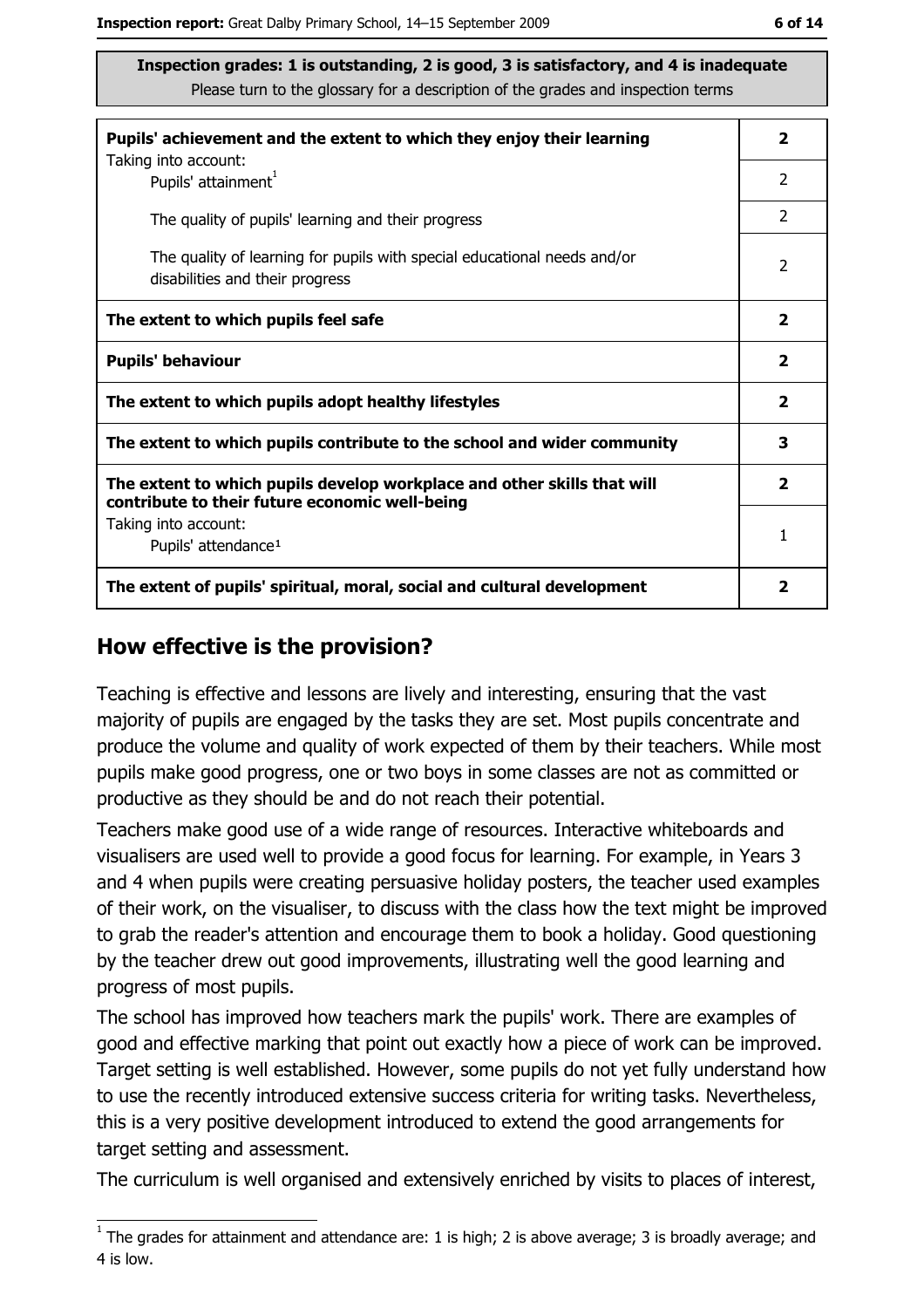| Pupils' achievement and the extent to which they enjoy their learning                                                     |                         |  |
|---------------------------------------------------------------------------------------------------------------------------|-------------------------|--|
| Taking into account:<br>Pupils' attainment <sup>1</sup>                                                                   | $\overline{2}$          |  |
| The quality of pupils' learning and their progress                                                                        | $\overline{2}$          |  |
| The quality of learning for pupils with special educational needs and/or<br>disabilities and their progress               | $\overline{2}$          |  |
| The extent to which pupils feel safe                                                                                      | $\mathbf{2}$            |  |
| <b>Pupils' behaviour</b>                                                                                                  | $\mathbf{2}$            |  |
| The extent to which pupils adopt healthy lifestyles                                                                       | $\mathbf{2}$            |  |
| The extent to which pupils contribute to the school and wider community                                                   |                         |  |
| The extent to which pupils develop workplace and other skills that will<br>contribute to their future economic well-being | $\overline{\mathbf{2}}$ |  |
| Taking into account:<br>Pupils' attendance <sup>1</sup>                                                                   | 1                       |  |
| The extent of pupils' spiritual, moral, social and cultural development                                                   | 2                       |  |

#### How effective is the provision?

Teaching is effective and lessons are lively and interesting, ensuring that the vast majority of pupils are engaged by the tasks they are set. Most pupils concentrate and produce the volume and quality of work expected of them by their teachers. While most pupils make good progress, one or two boys in some classes are not as committed or productive as they should be and do not reach their potential.

Teachers make good use of a wide range of resources. Interactive whiteboards and visualisers are used well to provide a good focus for learning. For example, in Years 3 and 4 when pupils were creating persuasive holiday posters, the teacher used examples of their work, on the visualiser, to discuss with the class how the text might be improved to grab the reader's attention and encourage them to book a holiday. Good questioning by the teacher drew out good improvements, illustrating well the good learning and progress of most pupils.

The school has improved how teachers mark the pupils' work. There are examples of good and effective marking that point out exactly how a piece of work can be improved. Target setting is well established. However, some pupils do not yet fully understand how to use the recently introduced extensive success criteria for writing tasks. Nevertheless, this is a very positive development introduced to extend the good arrangements for target setting and assessment.

The curriculum is well organised and extensively enriched by visits to places of interest,

 $\overline{1}$  The grades for attainment and attendance are: 1 is high; 2 is above average; 3 is broadly average; and 4 is low.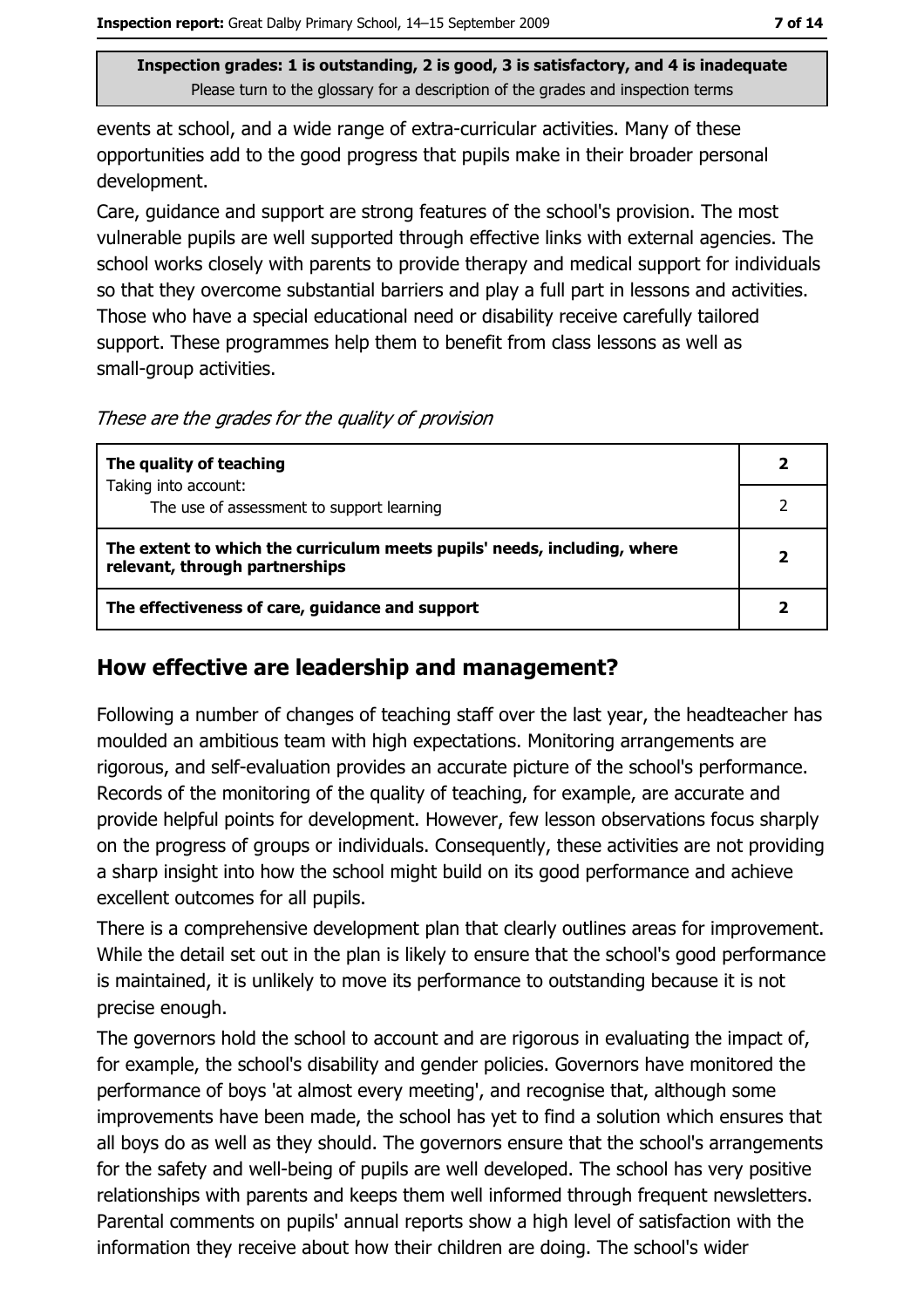events at school, and a wide range of extra-curricular activities. Many of these opportunities add to the good progress that pupils make in their broader personal development.

Care, quidance and support are strong features of the school's provision. The most vulnerable pupils are well supported through effective links with external agencies. The school works closely with parents to provide therapy and medical support for individuals so that they overcome substantial barriers and play a full part in lessons and activities. Those who have a special educational need or disability receive carefully tailored support. These programmes help them to benefit from class lessons as well as small-group activities.

These are the grades for the quality of provision

| The quality of teaching                                                                                    | 2 |
|------------------------------------------------------------------------------------------------------------|---|
| Taking into account:                                                                                       |   |
| The use of assessment to support learning                                                                  |   |
| The extent to which the curriculum meets pupils' needs, including, where<br>relevant, through partnerships | 2 |
| The effectiveness of care, guidance and support                                                            |   |

#### How effective are leadership and management?

Following a number of changes of teaching staff over the last year, the headteacher has moulded an ambitious team with high expectations. Monitoring arrangements are rigorous, and self-evaluation provides an accurate picture of the school's performance. Records of the monitoring of the quality of teaching, for example, are accurate and provide helpful points for development. However, few lesson observations focus sharply on the progress of groups or individuals. Consequently, these activities are not providing a sharp insight into how the school might build on its good performance and achieve excellent outcomes for all pupils.

There is a comprehensive development plan that clearly outlines areas for improvement. While the detail set out in the plan is likely to ensure that the school's good performance is maintained, it is unlikely to move its performance to outstanding because it is not precise enough.

The governors hold the school to account and are rigorous in evaluating the impact of, for example, the school's disability and gender policies. Governors have monitored the performance of boys 'at almost every meeting', and recognise that, although some improvements have been made, the school has yet to find a solution which ensures that all boys do as well as they should. The governors ensure that the school's arrangements for the safety and well-being of pupils are well developed. The school has very positive relationships with parents and keeps them well informed through frequent newsletters. Parental comments on pupils' annual reports show a high level of satisfaction with the information they receive about how their children are doing. The school's wider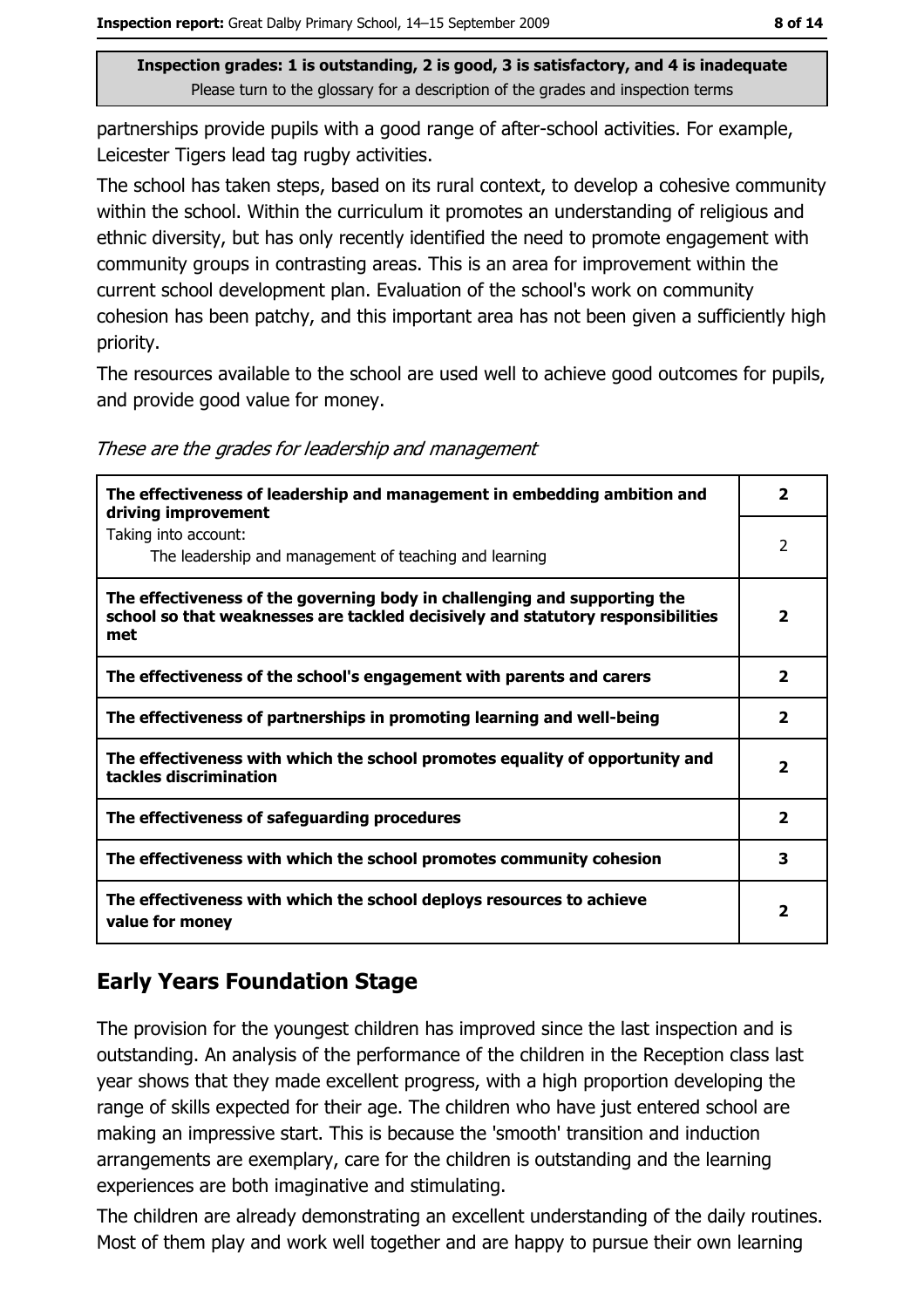partnerships provide pupils with a good range of after-school activities. For example, Leicester Tigers lead tag rugby activities.

The school has taken steps, based on its rural context, to develop a cohesive community within the school. Within the curriculum it promotes an understanding of religious and ethnic diversity, but has only recently identified the need to promote engagement with community groups in contrasting areas. This is an area for improvement within the current school development plan. Evaluation of the school's work on community cohesion has been patchy, and this important area has not been given a sufficiently high priority.

The resources available to the school are used well to achieve good outcomes for pupils, and provide good value for money.

These are the grades for leadership and management

| The effectiveness of leadership and management in embedding ambition and<br>driving improvement                                                                     | $\overline{\mathbf{2}}$ |
|---------------------------------------------------------------------------------------------------------------------------------------------------------------------|-------------------------|
| Taking into account:<br>The leadership and management of teaching and learning                                                                                      | $\overline{2}$          |
| The effectiveness of the governing body in challenging and supporting the<br>school so that weaknesses are tackled decisively and statutory responsibilities<br>met | $\overline{\mathbf{2}}$ |
| The effectiveness of the school's engagement with parents and carers                                                                                                | $\overline{\mathbf{2}}$ |
| The effectiveness of partnerships in promoting learning and well-being                                                                                              | $\mathbf{z}$            |
| The effectiveness with which the school promotes equality of opportunity and<br>tackles discrimination                                                              | 2                       |
| The effectiveness of safeguarding procedures                                                                                                                        | $\mathbf{2}$            |
| The effectiveness with which the school promotes community cohesion                                                                                                 | 3                       |
| The effectiveness with which the school deploys resources to achieve<br>value for money                                                                             | $\overline{\mathbf{2}}$ |

# **Early Years Foundation Stage**

The provision for the youngest children has improved since the last inspection and is outstanding. An analysis of the performance of the children in the Reception class last year shows that they made excellent progress, with a high proportion developing the range of skills expected for their age. The children who have just entered school are making an impressive start. This is because the 'smooth' transition and induction arrangements are exemplary, care for the children is outstanding and the learning experiences are both imaginative and stimulating.

The children are already demonstrating an excellent understanding of the daily routines. Most of them play and work well together and are happy to pursue their own learning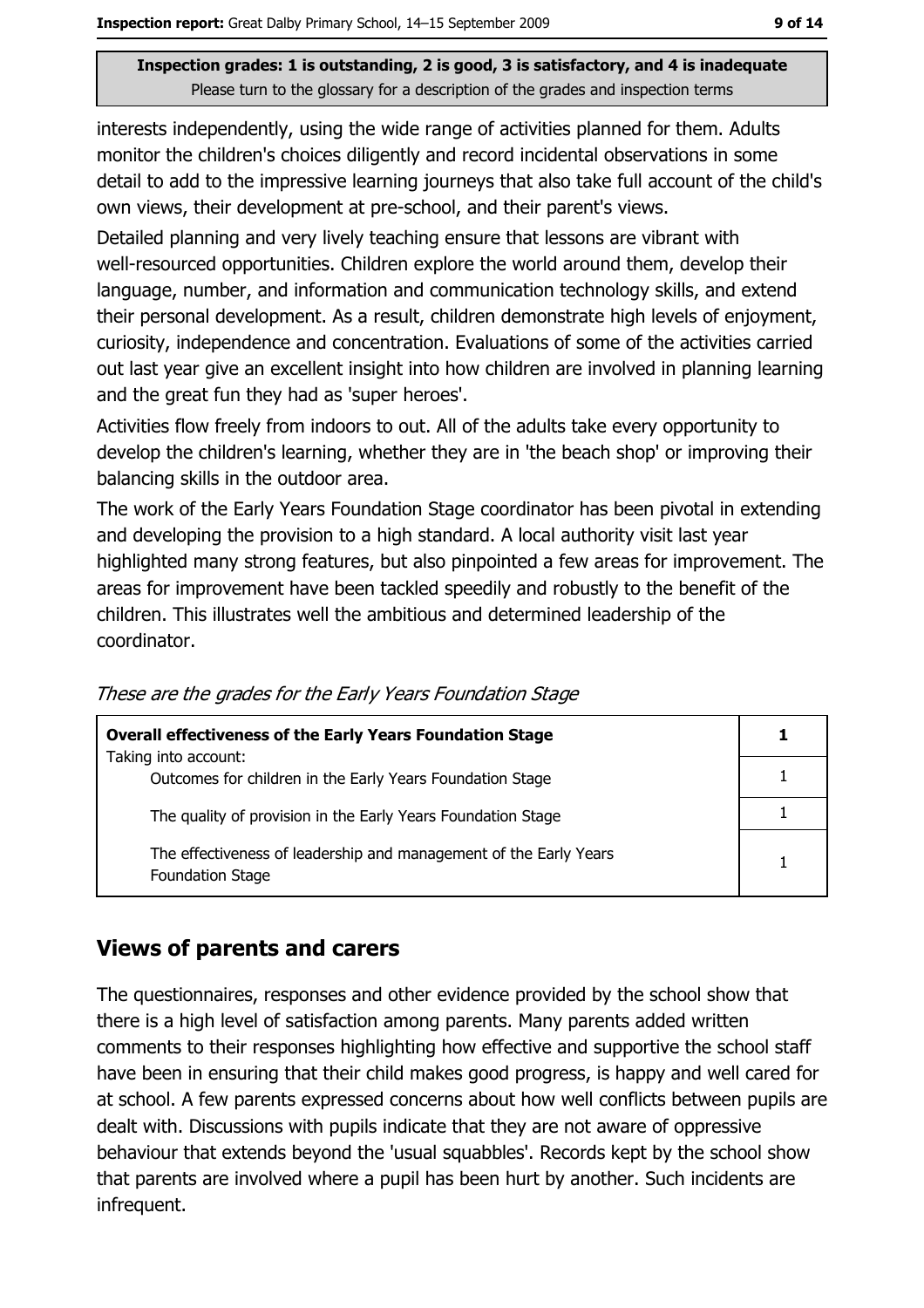interests independently, using the wide range of activities planned for them. Adults monitor the children's choices diligently and record incidental observations in some detail to add to the impressive learning journeys that also take full account of the child's own views, their development at pre-school, and their parent's views.

Detailed planning and very lively teaching ensure that lessons are vibrant with well-resourced opportunities. Children explore the world around them, develop their language, number, and information and communication technology skills, and extend their personal development. As a result, children demonstrate high levels of enjoyment, curiosity, independence and concentration. Evaluations of some of the activities carried out last year give an excellent insight into how children are involved in planning learning and the great fun they had as 'super heroes'.

Activities flow freely from indoors to out. All of the adults take every opportunity to develop the children's learning, whether they are in 'the beach shop' or improving their balancing skills in the outdoor area.

The work of the Early Years Foundation Stage coordinator has been pivotal in extending and developing the provision to a high standard. A local authority visit last year highlighted many strong features, but also pinpointed a few areas for improvement. The areas for improvement have been tackled speedily and robustly to the benefit of the children. This illustrates well the ambitious and determined leadership of the coordinator.

| <b>Overall effectiveness of the Early Years Foundation Stage</b>                             |  |
|----------------------------------------------------------------------------------------------|--|
| Taking into account:                                                                         |  |
| Outcomes for children in the Early Years Foundation Stage                                    |  |
| The quality of provision in the Early Years Foundation Stage                                 |  |
| The effectiveness of leadership and management of the Early Years<br><b>Foundation Stage</b> |  |

These are the grades for the Early Years Foundation Stage

#### **Views of parents and carers**

The questionnaires, responses and other evidence provided by the school show that there is a high level of satisfaction among parents. Many parents added written comments to their responses highlighting how effective and supportive the school staff have been in ensuring that their child makes good progress, is happy and well cared for at school. A few parents expressed concerns about how well conflicts between pupils are dealt with. Discussions with pupils indicate that they are not aware of oppressive behaviour that extends beyond the 'usual squabbles'. Records kept by the school show that parents are involved where a pupil has been hurt by another. Such incidents are infrequent.

 $\mathbf{1}$ 

 $\mathbf{1}$ 

 $\mathbf{1}$ 

 $\mathbf{1}$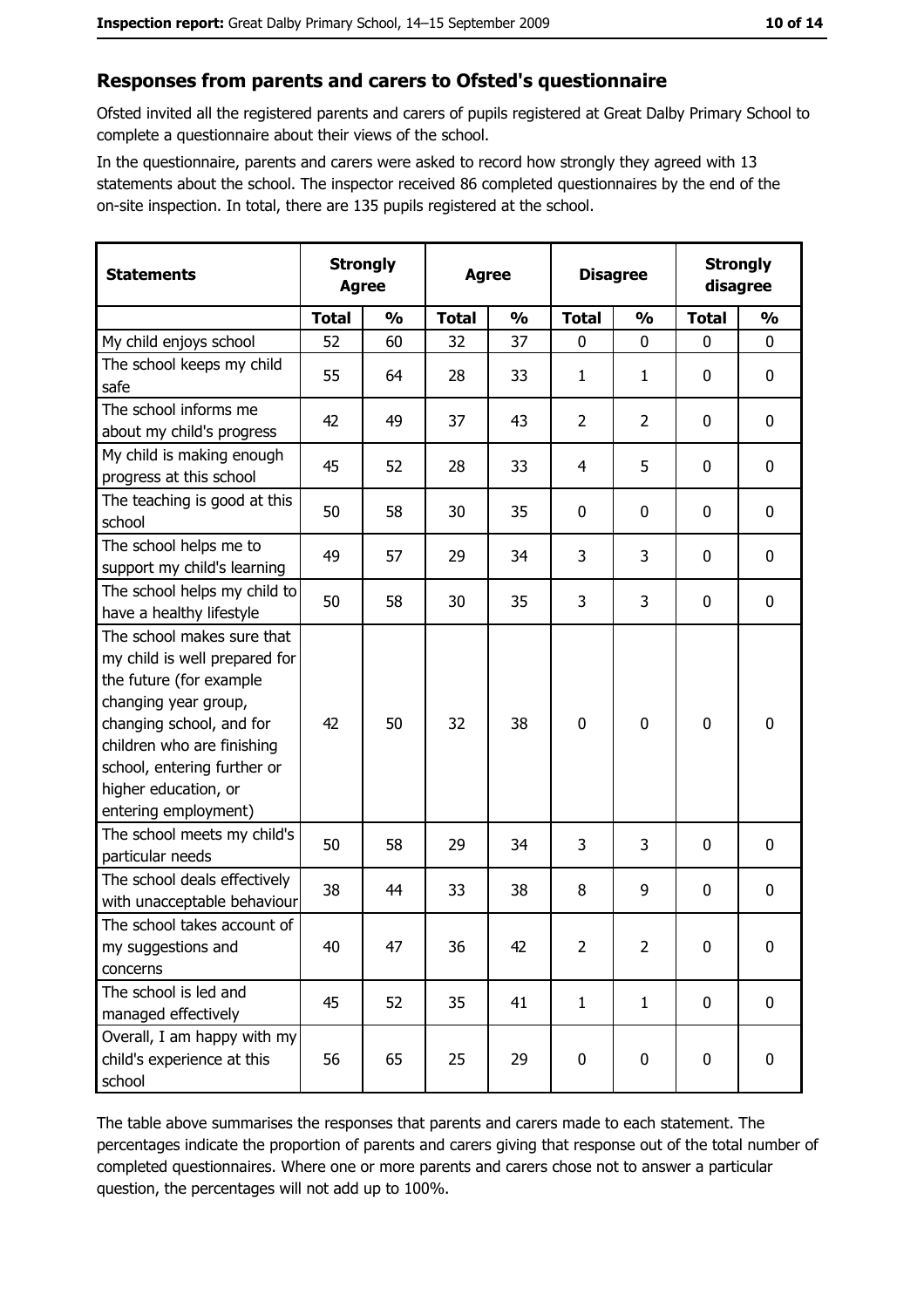#### Responses from parents and carers to Ofsted's questionnaire

Ofsted invited all the registered parents and carers of pupils registered at Great Dalby Primary School to complete a questionnaire about their views of the school.

In the questionnaire, parents and carers were asked to record how strongly they agreed with 13 statements about the school. The inspector received 86 completed questionnaires by the end of the on-site inspection. In total, there are 135 pupils registered at the school.

| <b>Statements</b>                                                                                                                                                                                                                                       | <b>Strongly</b><br><b>Agree</b> |               | <b>Agree</b> |               | <b>Disagree</b> |                | <b>Strongly</b><br>disagree |               |
|---------------------------------------------------------------------------------------------------------------------------------------------------------------------------------------------------------------------------------------------------------|---------------------------------|---------------|--------------|---------------|-----------------|----------------|-----------------------------|---------------|
|                                                                                                                                                                                                                                                         | <b>Total</b>                    | $\frac{1}{2}$ | <b>Total</b> | $\frac{0}{0}$ | <b>Total</b>    | $\frac{0}{0}$  | <b>Total</b>                | $\frac{1}{2}$ |
| My child enjoys school                                                                                                                                                                                                                                  | 52                              | 60            | 32           | 37            | $\mathbf 0$     | 0              | $\mathbf 0$                 | 0             |
| The school keeps my child<br>safe                                                                                                                                                                                                                       | 55                              | 64            | 28           | 33            | 1               | 1              | 0                           | 0             |
| The school informs me<br>about my child's progress                                                                                                                                                                                                      | 42                              | 49            | 37           | 43            | $\overline{2}$  | $\overline{2}$ | 0                           | 0             |
| My child is making enough<br>progress at this school                                                                                                                                                                                                    | 45                              | 52            | 28           | 33            | 4               | 5              | 0                           | 0             |
| The teaching is good at this<br>school                                                                                                                                                                                                                  | 50                              | 58            | 30           | 35            | 0               | 0              | 0                           | 0             |
| The school helps me to<br>support my child's learning                                                                                                                                                                                                   | 49                              | 57            | 29           | 34            | 3               | 3              | 0                           | $\mathbf 0$   |
| The school helps my child to<br>have a healthy lifestyle                                                                                                                                                                                                | 50                              | 58            | 30           | 35            | 3               | 3              | 0                           | $\mathbf 0$   |
| The school makes sure that<br>my child is well prepared for<br>the future (for example<br>changing year group,<br>changing school, and for<br>children who are finishing<br>school, entering further or<br>higher education, or<br>entering employment) | 42                              | 50            | 32           | 38            | $\mathbf 0$     | 0              | 0                           | $\mathbf 0$   |
| The school meets my child's<br>particular needs                                                                                                                                                                                                         | 50                              | 58            | 29           | 34            | 3               | 3              | 0                           | 0             |
| The school deals effectively<br>with unacceptable behaviour                                                                                                                                                                                             | 38                              | 44            | 33           | 38            | 8               | 9              | 0                           | 0             |
| The school takes account of<br>my suggestions and<br>concerns                                                                                                                                                                                           | 40                              | 47            | 36           | 42            | $\overline{2}$  | $\overline{2}$ | 0                           | 0             |
| The school is led and<br>managed effectively                                                                                                                                                                                                            | 45                              | 52            | 35           | 41            | $\mathbf{1}$    | $\mathbf{1}$   | $\mathbf 0$                 | $\mathbf 0$   |
| Overall, I am happy with my<br>child's experience at this<br>school                                                                                                                                                                                     | 56                              | 65            | 25           | 29            | $\pmb{0}$       | 0              | 0                           | $\pmb{0}$     |

The table above summarises the responses that parents and carers made to each statement. The percentages indicate the proportion of parents and carers giving that response out of the total number of completed questionnaires. Where one or more parents and carers chose not to answer a particular question, the percentages will not add up to 100%.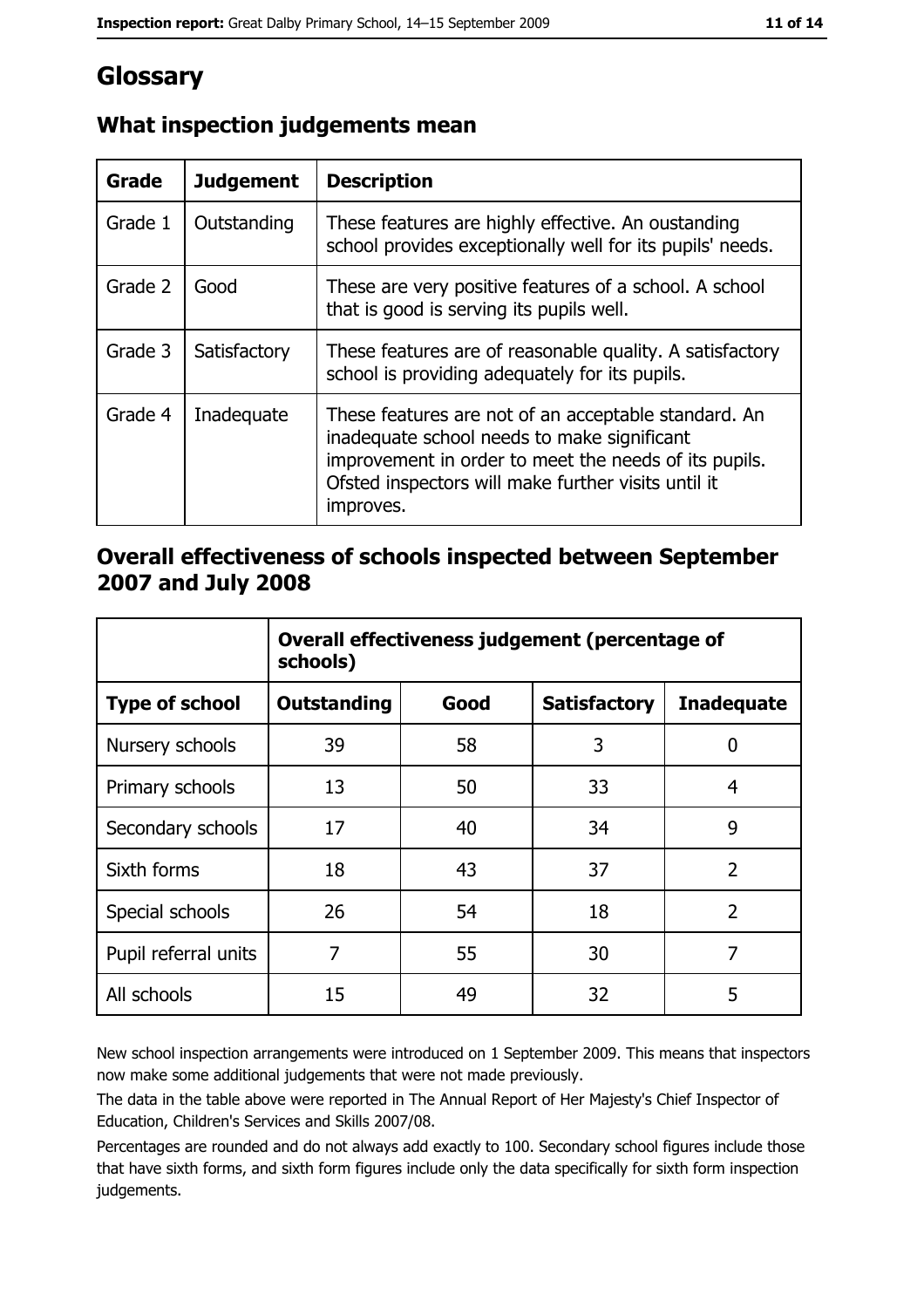# Glossary

| Grade   | <b>Judgement</b> | <b>Description</b>                                                                                                                                                                                                               |  |
|---------|------------------|----------------------------------------------------------------------------------------------------------------------------------------------------------------------------------------------------------------------------------|--|
| Grade 1 | Outstanding      | These features are highly effective. An oustanding<br>school provides exceptionally well for its pupils' needs.                                                                                                                  |  |
| Grade 2 | Good             | These are very positive features of a school. A school<br>that is good is serving its pupils well.                                                                                                                               |  |
| Grade 3 | Satisfactory     | These features are of reasonable quality. A satisfactory<br>school is providing adequately for its pupils.                                                                                                                       |  |
| Grade 4 | Inadequate       | These features are not of an acceptable standard. An<br>inadequate school needs to make significant<br>improvement in order to meet the needs of its pupils.<br>Ofsted inspectors will make further visits until it<br>improves. |  |

## What inspection judgements mean

## Overall effectiveness of schools inspected between September 2007 and July 2008

|                       | Overall effectiveness judgement (percentage of<br>schools) |      |                     |                   |
|-----------------------|------------------------------------------------------------|------|---------------------|-------------------|
| <b>Type of school</b> | <b>Outstanding</b>                                         | Good | <b>Satisfactory</b> | <b>Inadequate</b> |
| Nursery schools       | 39                                                         | 58   | 3                   | 0                 |
| Primary schools       | 13                                                         | 50   | 33                  | 4                 |
| Secondary schools     | 17                                                         | 40   | 34                  | 9                 |
| Sixth forms           | 18                                                         | 43   | 37                  | $\overline{2}$    |
| Special schools       | 26                                                         | 54   | 18                  | $\overline{2}$    |
| Pupil referral units  | 7                                                          | 55   | 30                  | 7                 |
| All schools           | 15                                                         | 49   | 32                  | 5                 |

New school inspection arrangements were introduced on 1 September 2009. This means that inspectors now make some additional judgements that were not made previously.

The data in the table above were reported in The Annual Report of Her Majesty's Chief Inspector of Education, Children's Services and Skills 2007/08.

Percentages are rounded and do not always add exactly to 100. Secondary school figures include those that have sixth forms, and sixth form figures include only the data specifically for sixth form inspection judgements.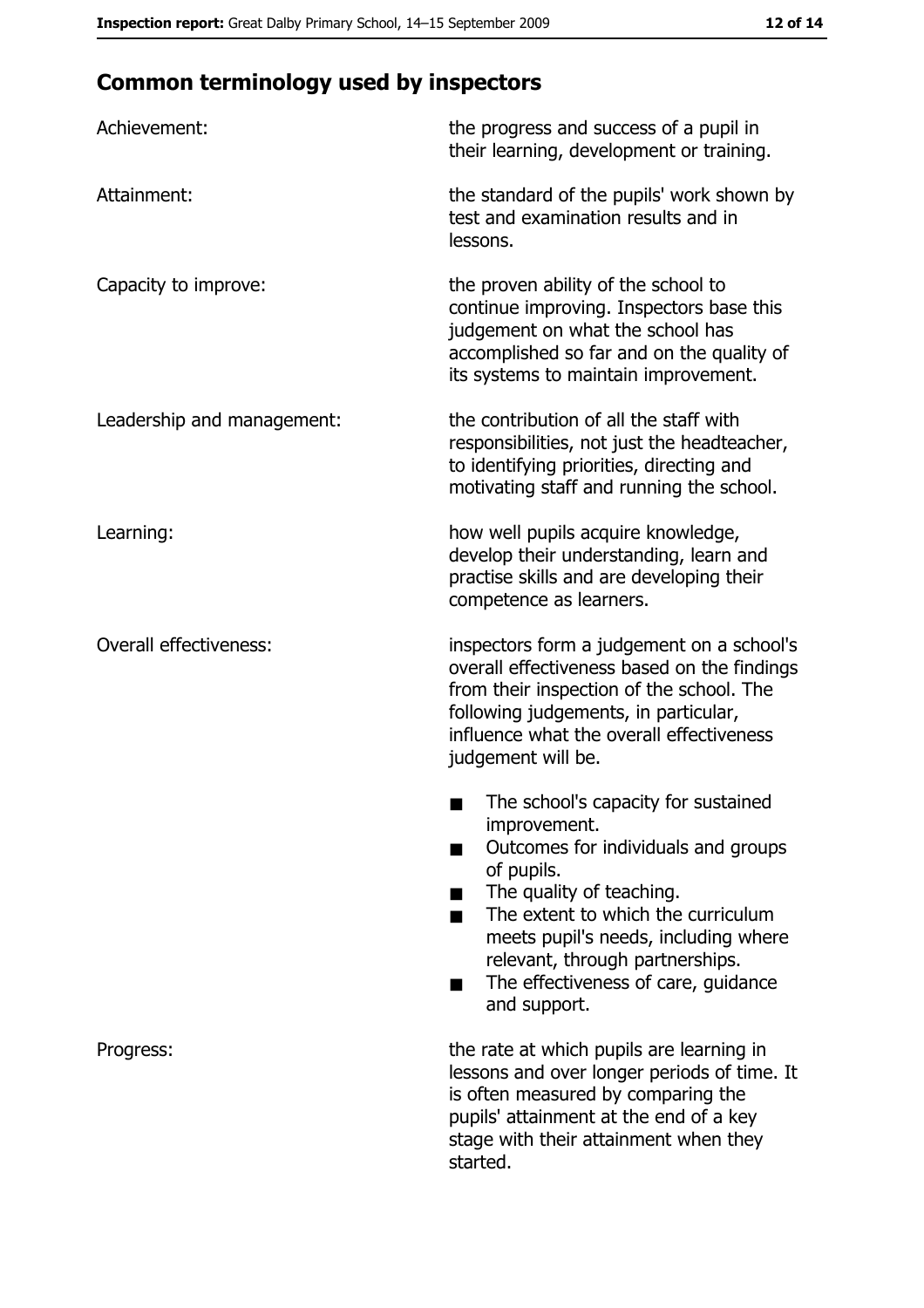# **Common terminology used by inspectors**

| Achievement:                  | the progress and success of a pupil in<br>their learning, development or training.                                                                                                                                                                                                                           |
|-------------------------------|--------------------------------------------------------------------------------------------------------------------------------------------------------------------------------------------------------------------------------------------------------------------------------------------------------------|
| Attainment:                   | the standard of the pupils' work shown by<br>test and examination results and in<br>lessons.                                                                                                                                                                                                                 |
| Capacity to improve:          | the proven ability of the school to<br>continue improving. Inspectors base this<br>judgement on what the school has<br>accomplished so far and on the quality of<br>its systems to maintain improvement.                                                                                                     |
| Leadership and management:    | the contribution of all the staff with<br>responsibilities, not just the headteacher,<br>to identifying priorities, directing and<br>motivating staff and running the school.                                                                                                                                |
| Learning:                     | how well pupils acquire knowledge,<br>develop their understanding, learn and<br>practise skills and are developing their<br>competence as learners.                                                                                                                                                          |
| <b>Overall effectiveness:</b> | inspectors form a judgement on a school's<br>overall effectiveness based on the findings<br>from their inspection of the school. The<br>following judgements, in particular,<br>influence what the overall effectiveness<br>judgement will be.                                                               |
|                               | The school's capacity for sustained<br>improvement.<br>Outcomes for individuals and groups<br>of pupils.<br>The quality of teaching.<br>The extent to which the curriculum<br>meets pupil's needs, including where<br>relevant, through partnerships.<br>The effectiveness of care, guidance<br>and support. |
| Progress:                     | the rate at which pupils are learning in<br>lessons and over longer periods of time. It<br>is often measured by comparing the<br>pupils' attainment at the end of a key<br>stage with their attainment when they<br>started.                                                                                 |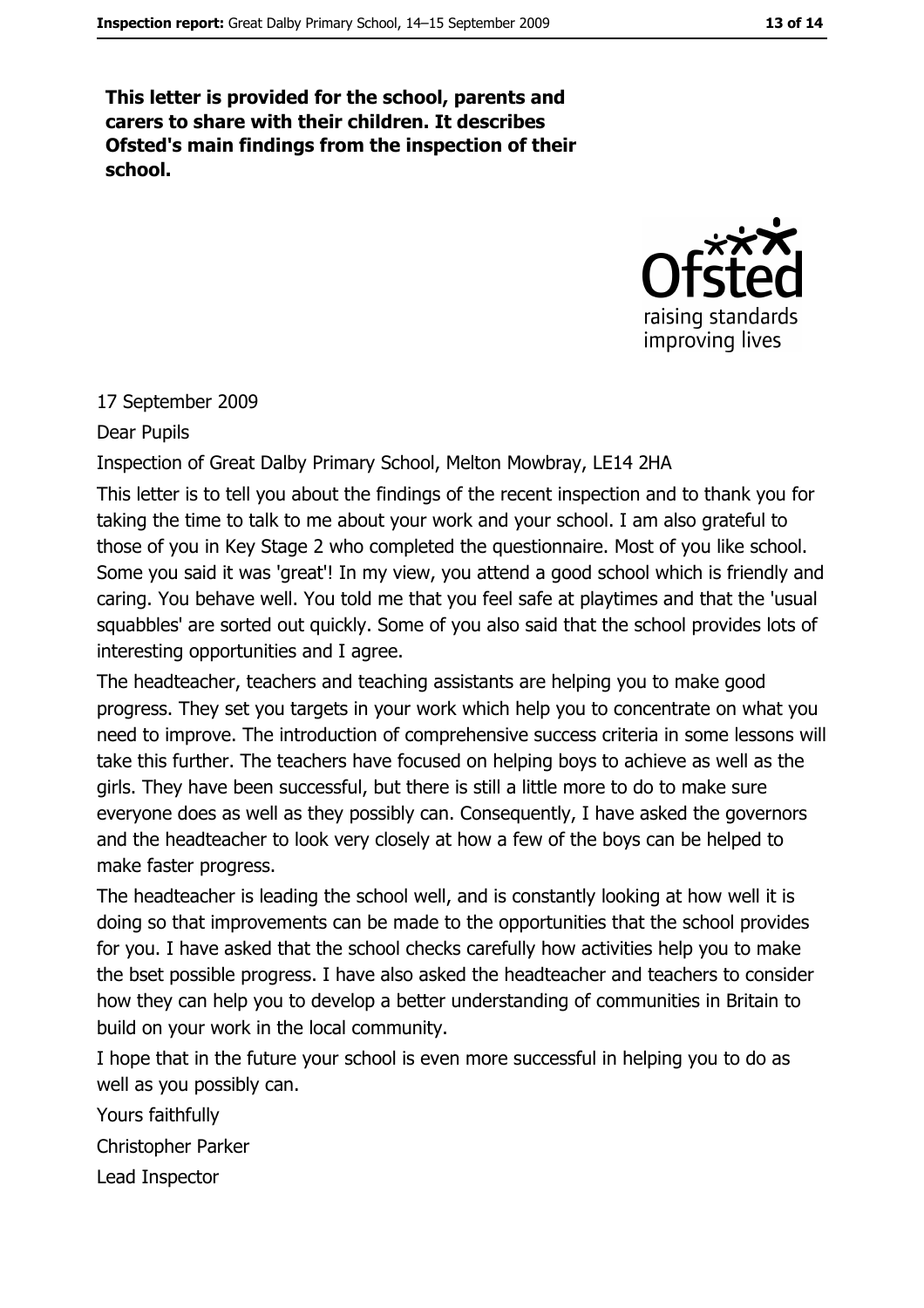This letter is provided for the school, parents and carers to share with their children. It describes Ofsted's main findings from the inspection of their school.



#### 17 September 2009

Dear Pupils

#### Inspection of Great Dalby Primary School, Melton Mowbray, LE14 2HA

This letter is to tell you about the findings of the recent inspection and to thank you for taking the time to talk to me about your work and your school. I am also grateful to those of you in Key Stage 2 who completed the questionnaire. Most of you like school. Some you said it was 'great'! In my view, you attend a good school which is friendly and caring. You behave well. You told me that you feel safe at playtimes and that the 'usual squabbles' are sorted out quickly. Some of you also said that the school provides lots of interesting opportunities and I agree.

The headteacher, teachers and teaching assistants are helping you to make good progress. They set you targets in your work which help you to concentrate on what you need to improve. The introduction of comprehensive success criteria in some lessons will take this further. The teachers have focused on helping boys to achieve as well as the girls. They have been successful, but there is still a little more to do to make sure everyone does as well as they possibly can. Consequently, I have asked the governors and the headteacher to look very closely at how a few of the boys can be helped to make faster progress.

The headteacher is leading the school well, and is constantly looking at how well it is doing so that improvements can be made to the opportunities that the school provides for you. I have asked that the school checks carefully how activities help you to make the bset possible progress. I have also asked the headteacher and teachers to consider how they can help you to develop a better understanding of communities in Britain to build on your work in the local community.

I hope that in the future your school is even more successful in helping you to do as well as you possibly can.

Yours faithfully

Christopher Parker

Lead Inspector